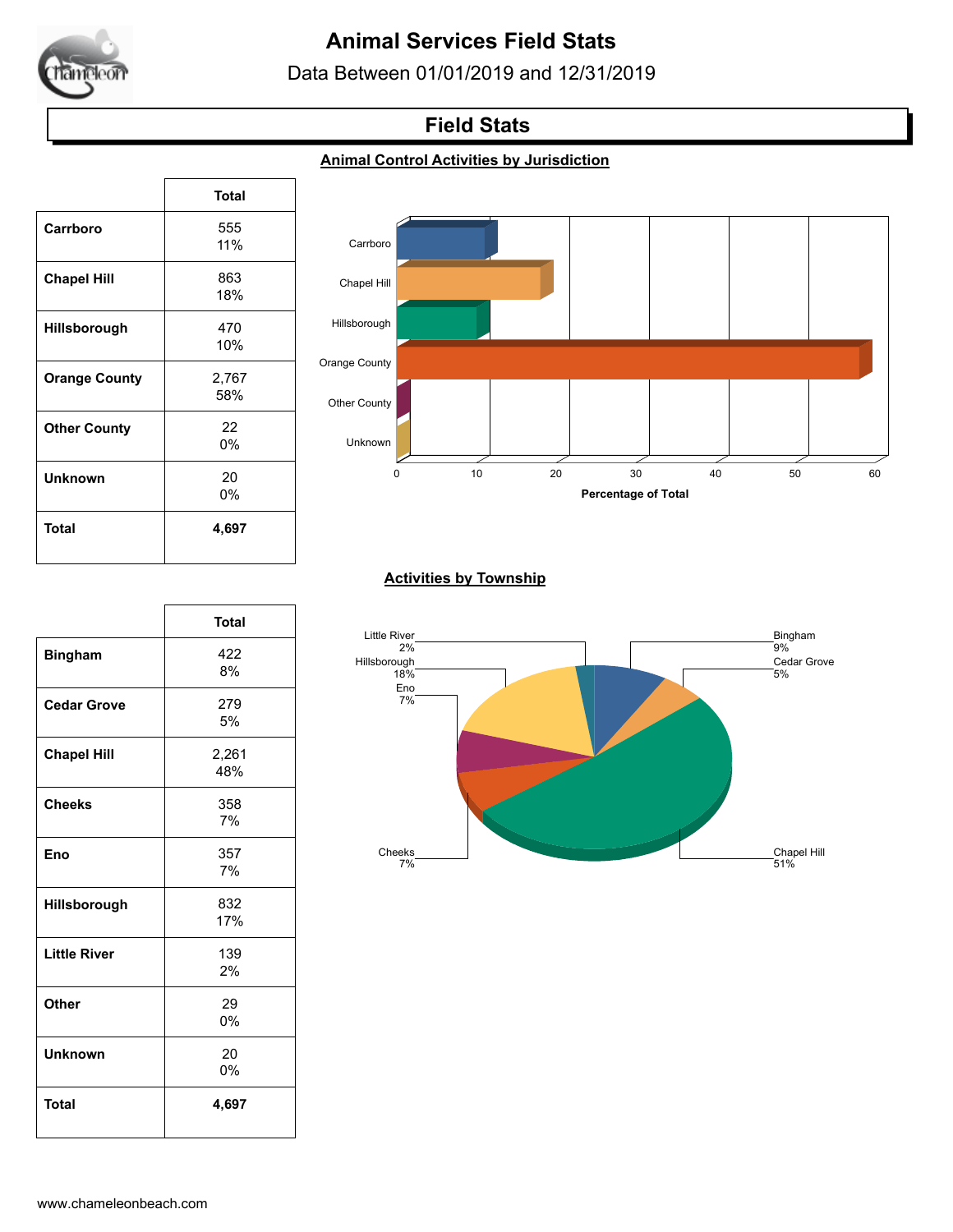

# **Animal Services Field Stats**

Data Between 01/01/2019 and 12/31/2019

## **Field Stats**

#### **Animal Control Activities by Jurisdiction**

|                      | <b>Total</b> |
|----------------------|--------------|
| Carrboro             | 555          |
|                      | 11%          |
| <b>Chapel Hill</b>   | 863          |
|                      | 18%          |
| Hillsborough         | 470          |
|                      | 10%          |
| <b>Orange County</b> | 2,767        |
|                      | 58%          |
| <b>Other County</b>  | 22           |
|                      | 0%           |
| Unknown              | 20           |
|                      | 0%           |
| Total                | 4,697        |
|                      |              |

 $\sqrt{ }$ 



#### **Activities by Township**



|                     | <b>Total</b> |
|---------------------|--------------|
| <b>Bingham</b>      | 422          |
|                     | 8%           |
| <b>Cedar Grove</b>  | 279          |
|                     | 5%           |
| <b>Chapel Hill</b>  | 2,261        |
|                     | 48%          |
| <b>Cheeks</b>       | 358          |
|                     | 7%           |
| Eno                 | 357          |
|                     | 7%           |
| Hillsborough        | 832          |
|                     | 17%          |
| <b>Little River</b> | 139          |
|                     | 2%           |
| Other               | 29           |
|                     | 0%           |
| <b>Unknown</b>      | 20           |
|                     | 0%           |
| <b>Total</b>        | 4,697        |
|                     |              |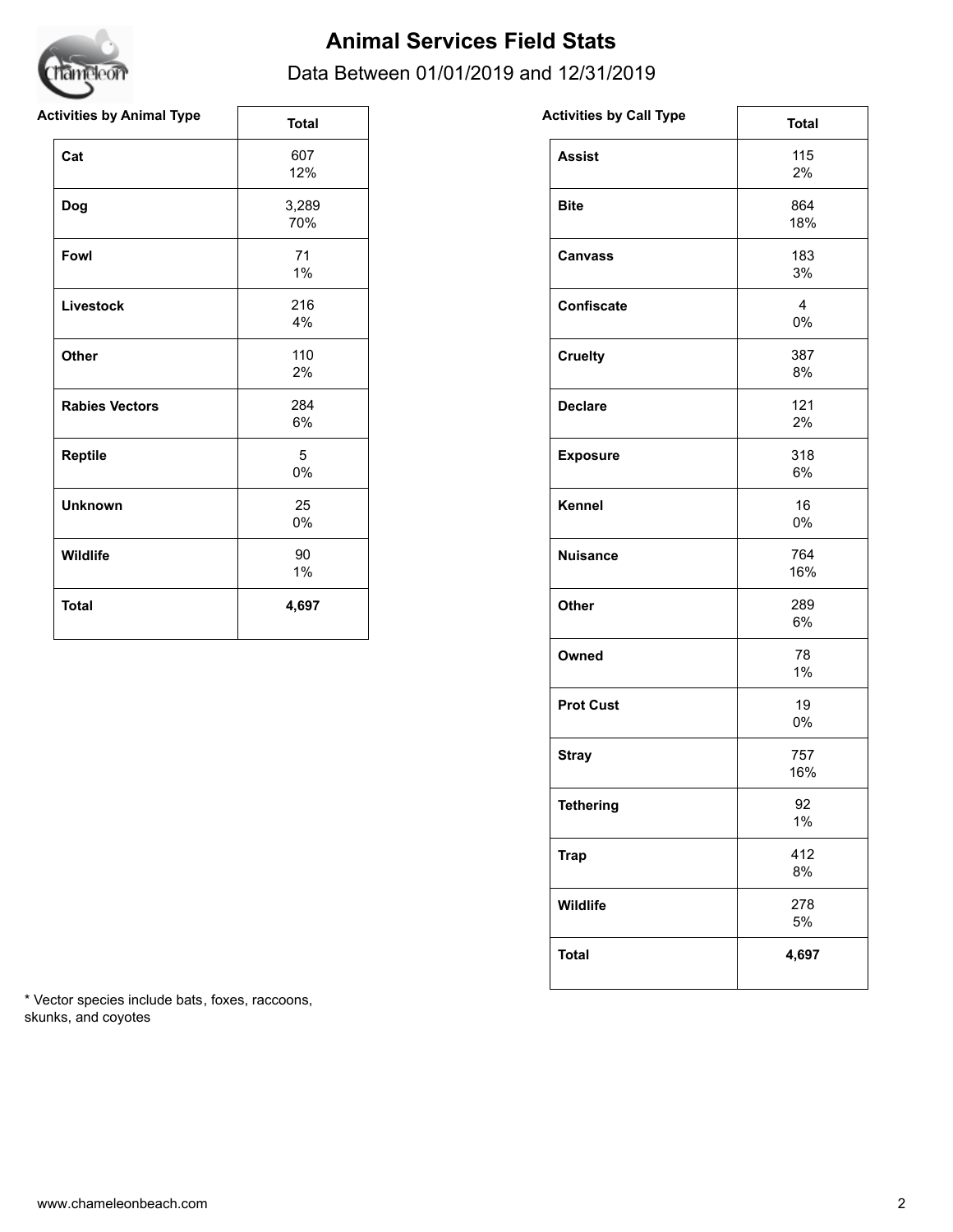

## **Animal Services Field Stats**

#### Data Between 01/01/2019 and 12/31/2019

| <b>Activities by Animal Type</b> | <b>Total</b> | <b>Activities by Call Type</b> | <b>Total</b>         |
|----------------------------------|--------------|--------------------------------|----------------------|
| Cat                              | 607<br>12%   | <b>Assist</b>                  | 115<br>2%            |
| <b>Dog</b>                       | 3,289<br>70% | <b>Bite</b>                    | 864<br>18%           |
| Fowl                             | 71<br>$1\%$  | <b>Canvass</b>                 | 183<br>3%            |
| Livestock                        | 216<br>4%    | Confiscate                     | $\overline{4}$<br>0% |
| Other                            | 110<br>2%    | <b>Cruelty</b>                 | 387<br>8%            |
| <b>Rabies Vectors</b>            | 284<br>$6\%$ | <b>Declare</b>                 | 121<br>2%            |
| Reptile                          | 5<br>$0\%$   | <b>Exposure</b>                | 318<br>6%            |
| <b>Unknown</b>                   | 25<br>$0\%$  | Kennel                         | 16<br>0%             |
| Wildlife                         | 90<br>$1\%$  | <b>Nuisance</b>                | 764<br>16%           |
| <b>Total</b>                     | 4,697        | Other                          | 289<br>6%            |

| <b>Activities by Call Type</b> | <b>Total</b> |
|--------------------------------|--------------|
| <b>Assist</b>                  | 115<br>2%    |
| <b>Bite</b>                    | 864<br>18%   |
| <b>Canvass</b>                 | 183<br>3%    |
| <b>Confiscate</b>              | 4<br>0%      |
| <b>Cruelty</b>                 | 387<br>8%    |
| <b>Declare</b>                 | 121<br>2%    |
| <b>Exposure</b>                | 318<br>6%    |
| Kennel                         | 16<br>0%     |
| <b>Nuisance</b>                | 764<br>16%   |
| Other                          | 289<br>6%    |
| Owned                          | 78<br>1%     |
| <b>Prot Cust</b>               | 19<br>0%     |
| <b>Stray</b>                   | 757<br>16%   |
| <b>Tethering</b>               | 92<br>1%     |
| <b>Trap</b>                    | 412<br>8%    |
| Wildlife                       | 278<br>5%    |
| <b>Total</b>                   | 4,697        |

\* Vector species include bats, foxes, raccoons, skunks, and coyotes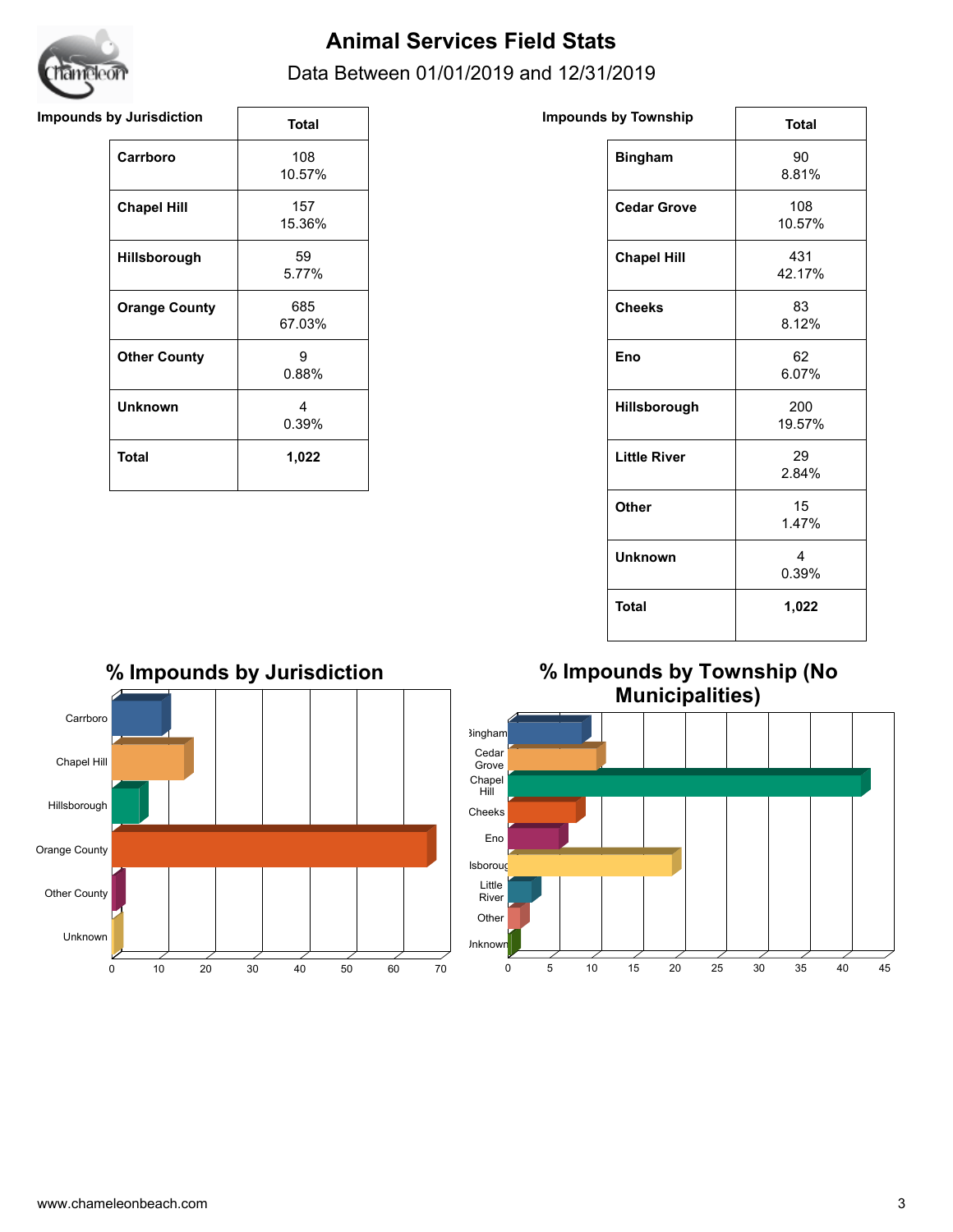

# **Animal Services Field Stats**

#### Data Between 01/01/2019 and 12/31/2019

#### **Impounds by Jurisdiction Impounds Impounds Impounds Impounds Impounds Impounds**

|                      | Total         |
|----------------------|---------------|
| Carrboro             | 108<br>10.57% |
| <b>Chapel Hill</b>   | 157<br>15.36% |
| <b>Hillsborough</b>  | 59<br>5.77%   |
| <b>Orange County</b> | 685<br>67.03% |
| <b>Other County</b>  | я<br>0.88%    |
| Unknown              | 4<br>0.39%    |
| <b>Total</b>         | 1,022         |

| nds by Township     | <b>Total</b>                     |
|---------------------|----------------------------------|
| <b>Bingham</b>      | 90<br>8.81%                      |
| <b>Cedar Grove</b>  | 108<br>10.57%                    |
| <b>Chapel Hill</b>  | 431<br>42.17%                    |
| <b>Cheeks</b>       | 83<br>8.12%                      |
| Eno                 | 62<br>6.07%                      |
| Hillsborough        | 200<br>19.57%                    |
| <b>Little River</b> | 29<br>2.84%                      |
| Other               | 15<br>1.47%                      |
| <b>Unknown</b>      | $\overline{\mathbf{4}}$<br>0.39% |
| <b>Total</b>        | 1,022                            |



### **% Impounds by Township (No Municipalities)**